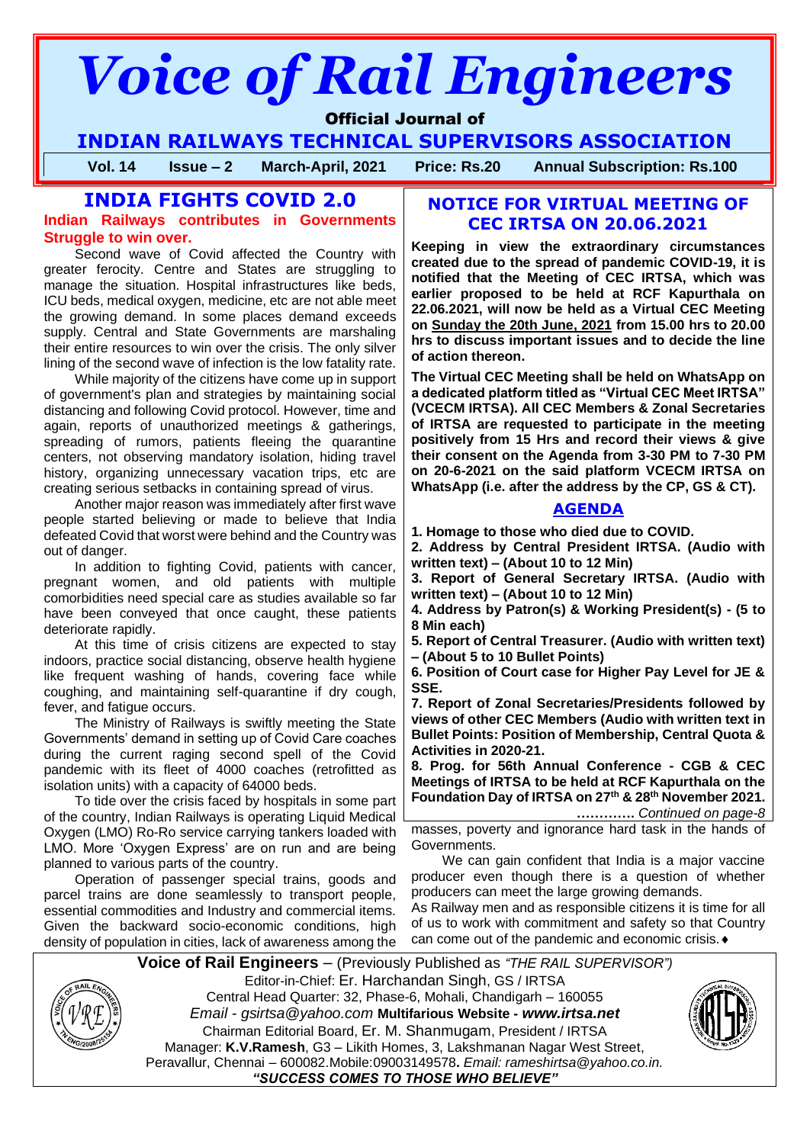# *Voice of Rail Engineers*

# Official Journal of

**INDIAN RAILWAYS TECHNICAL SUPERVISORS ASSOCIATION**

**Vol. 14 Issue – 2 March-April, 2021 Price: Rs.20 Annual Subscription: Rs.100**

# **INDIA FIGHTS COVID 2.0**

**Indian Railways contributes in Governments Struggle to win over.** 

Second wave of Covid affected the Country with greater ferocity. Centre and States are struggling to manage the situation. Hospital infrastructures like beds, ICU beds, medical oxygen, medicine, etc are not able meet the growing demand. In some places demand exceeds supply. Central and State Governments are marshaling their entire resources to win over the crisis. The only silver lining of the second wave of infection is the low fatality rate.

While majority of the citizens have come up in support of government's plan and strategies by maintaining social distancing and following Covid protocol. However, time and again, reports of unauthorized meetings & gatherings, spreading of rumors, patients fleeing the quarantine centers, not observing mandatory isolation, hiding travel history, organizing unnecessary vacation trips, etc are creating serious setbacks in containing spread of virus.

Another major reason was immediately after first wave people started believing or made to believe that India defeated Covid that worst were behind and the Country was out of danger.

In addition to fighting Covid, patients with cancer, pregnant women, and old patients with multiple comorbidities need special care as studies available so far have been conveyed that once caught, these patients deteriorate rapidly.

At this time of crisis citizens are expected to stay indoors, practice social distancing, observe health hygiene like frequent washing of hands, covering face while coughing, and maintaining self-quarantine if dry cough, fever, and fatigue occurs.

The Ministry of Railways is swiftly meeting the State Governments' demand in setting up of Covid Care coaches during the current raging second spell of the Covid pandemic with its fleet of 4000 coaches (retrofitted as isolation units) with a capacity of 64000 beds.

To tide over the crisis faced by hospitals in some part of the country, Indian Railways is operating Liquid Medical Oxygen (LMO) Ro-Ro service carrying tankers loaded with LMO. More 'Oxygen Express' are on run and are being planned to various parts of the country.

Operation of passenger special trains, goods and parcel trains are done seamlessly to transport people, essential commodities and Industry and commercial items. Given the backward socio-economic conditions, high density of population in cities, lack of awareness among the

# **NOTICE FOR VIRTUAL MEETING OF CEC IRTSA ON 20.06.2021**

**Keeping in view the extraordinary circumstances created due to the spread of pandemic COVID-19, it is notified that the Meeting of CEC IRTSA, which was earlier proposed to be held at RCF Kapurthala on 22.06.2021, will now be held as a Virtual CEC Meeting on Sunday the 20th June, 2021 from 15.00 hrs to 20.00 hrs to discuss important issues and to decide the line of action thereon.** 

**The Virtual CEC Meeting shall be held on WhatsApp on a dedicated platform titled as "Virtual CEC Meet IRTSA" (VCECM IRTSA). All CEC Members & Zonal Secretaries of IRTSA are requested to participate in the meeting positively from 15 Hrs and record their views & give their consent on the Agenda from 3-30 PM to 7-30 PM on 20-6-2021 on the said platform VCECM IRTSA on WhatsApp (i.e. after the address by the CP, GS & CT).**

# **AGENDA**

**1. Homage to those who died due to COVID.** 

**2. Address by Central President IRTSA. (Audio with written text) – (About 10 to 12 Min)** 

**3. Report of General Secretary IRTSA. (Audio with written text) – (About 10 to 12 Min)** 

**4. Address by Patron(s) & Working President(s) - (5 to 8 Min each)** 

**5. Report of Central Treasurer. (Audio with written text) – (About 5 to 10 Bullet Points)** 

**6. Position of Court case for Higher Pay Level for JE & SSE.**

**7. Report of Zonal Secretaries/Presidents followed by views of other CEC Members (Audio with written text in Bullet Points: Position of Membership, Central Quota & Activities in 2020-21.** 

**8. Prog. for 56th Annual Conference - CGB & CEC Meetings of IRTSA to be held at RCF Kapurthala on the Foundation Day of IRTSA on 27th & 28th November 2021.**

 **………….** *Continued on page-8*

masses, poverty and ignorance hard task in the hands of Governments.

We can gain confident that India is a major vaccine producer even though there is a question of whether producers can meet the large growing demands.

As Railway men and as responsible citizens it is time for all of us to work with commitment and safety so that Country can come out of the pandemic and economic crisis.



**Voice of Rail Engineers** – (Previously Published as *"THE RAIL SUPERVISOR")* Editor-in-Chief: Er. Harchandan Singh, GS / IRTSA Central Head Quarter: 32, Phase-6, Mohali, Chandigarh – 160055 *Email - gsirtsa@yahoo.com* **Multifarious Website -** *[www.irtsa.net](http://www.irtsa.net/)* Chairman Editorial Board, Er. M. Shanmugam, President / IRTSA Manager: **K.V.Ramesh**, G3 – Likith Homes, 3, Lakshmanan Nagar West Street, Peravallur, Chennai – 600082.Mobile:09003149578**.** *Email: [rameshirtsa@yahoo.co.in.](mailto:rameshirtsa@yahoo.co.in) "SUCCESS COMES TO THOSE WHO BELIEVE"*

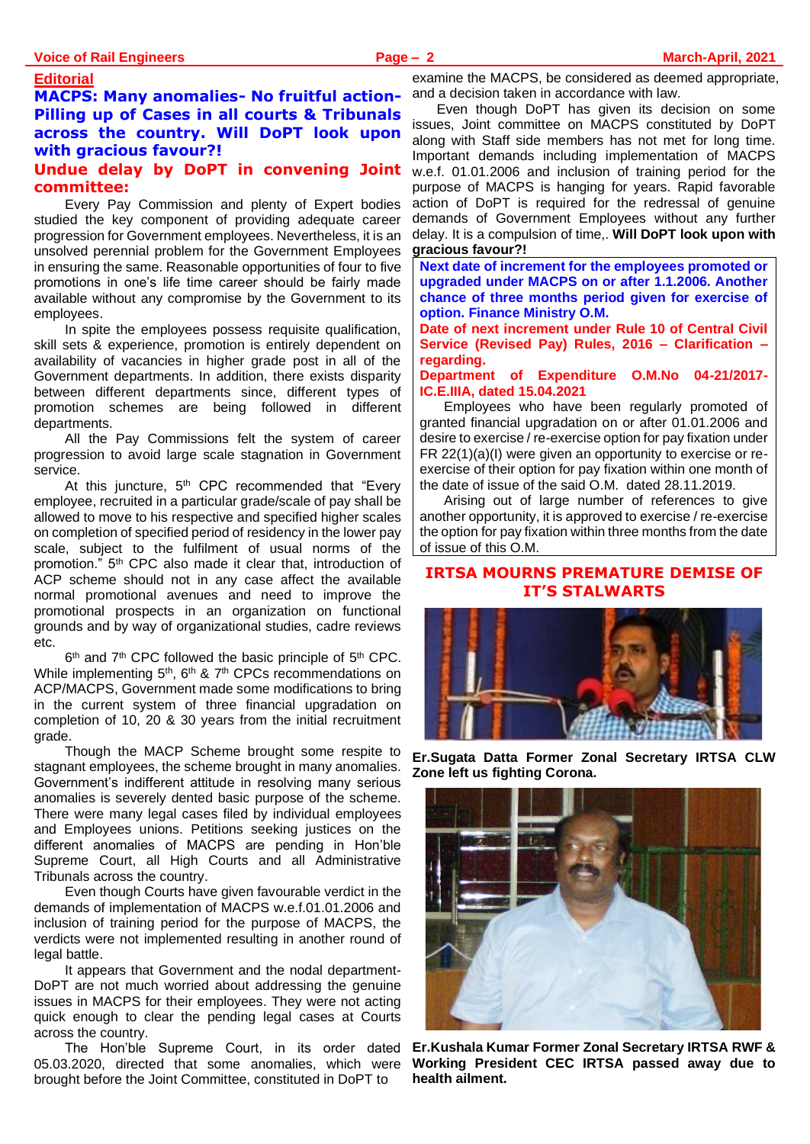#### **Editorial**

# **MACPS: Many anomalies- No fruitful action-Pilling up of Cases in all courts & Tribunals across the country. Will DoPT look upon with gracious favour?!**

#### **Undue delay by DoPT in convening Joint committee:**

Every Pay Commission and plenty of Expert bodies studied the key component of providing adequate career progression for Government employees. Nevertheless, it is an unsolved perennial problem for the Government Employees in ensuring the same. Reasonable opportunities of four to five promotions in one's life time career should be fairly made available without any compromise by the Government to its employees.

In spite the employees possess requisite qualification, skill sets & experience, promotion is entirely dependent on availability of vacancies in higher grade post in all of the Government departments. In addition, there exists disparity between different departments since, different types of promotion schemes are being followed in different departments.

All the Pay Commissions felt the system of career progression to avoid large scale stagnation in Government service.

At this juncture,  $5<sup>th</sup>$  CPC recommended that "Every employee, recruited in a particular grade/scale of pay shall be allowed to move to his respective and specified higher scales on completion of specified period of residency in the lower pay scale, subject to the fulfilment of usual norms of the promotion." 5<sup>th</sup> CPC also made it clear that, introduction of ACP scheme should not in any case affect the available normal promotional avenues and need to improve the promotional prospects in an organization on functional grounds and by way of organizational studies, cadre reviews etc.

 $6<sup>th</sup>$  and  $7<sup>th</sup>$  CPC followed the basic principle of  $5<sup>th</sup>$  CPC. While implementing 5<sup>th</sup>, 6<sup>th</sup> & 7<sup>th</sup> CPCs recommendations on ACP/MACPS, Government made some modifications to bring in the current system of three financial upgradation on completion of 10, 20 & 30 years from the initial recruitment grade.

Though the MACP Scheme brought some respite to stagnant employees, the scheme brought in many anomalies. Government's indifferent attitude in resolving many serious anomalies is severely dented basic purpose of the scheme. There were many legal cases filed by individual employees and Employees unions. Petitions seeking justices on the different anomalies of MACPS are pending in Hon'ble Supreme Court, all High Courts and all Administrative Tribunals across the country.

Even though Courts have given favourable verdict in the demands of implementation of MACPS w.e.f.01.01.2006 and inclusion of training period for the purpose of MACPS, the verdicts were not implemented resulting in another round of legal battle.

It appears that Government and the nodal department-DoPT are not much worried about addressing the genuine issues in MACPS for their employees. They were not acting quick enough to clear the pending legal cases at Courts across the country.

The Hon'ble Supreme Court, in its order dated 05.03.2020, directed that some anomalies, which were brought before the Joint Committee, constituted in DoPT to

examine the MACPS, be considered as deemed appropriate, and a decision taken in accordance with law.

Even though DoPT has given its decision on some issues, Joint committee on MACPS constituted by DoPT along with Staff side members has not met for long time. Important demands including implementation of MACPS w.e.f. 01.01.2006 and inclusion of training period for the purpose of MACPS is hanging for years. Rapid favorable action of DoPT is required for the redressal of genuine demands of Government Employees without any further delay. It is a compulsion of time,. **Will DoPT look upon with gracious favour?!**

**Next date of increment for the employees promoted or upgraded under MACPS on or after 1.1.2006. Another chance of three months period given for exercise of option. Finance Ministry O.M.**

**Date of next increment under Rule 10 of Central Civil Service (Revised Pay) Rules, 2016 – Clarification – regarding.**

**Department of Expenditure O.M.No 04-21/2017- IC.E.IIIA, dated 15.04.2021**

Employees who have been regularly promoted of granted financial upgradation on or after 01.01.2006 and desire to exercise / re-exercise option for pay fixation under FR 22(1)(a)(I) were given an opportunity to exercise or reexercise of their option for pay fixation within one month of the date of issue of the said O.M. dated 28.11.2019.

Arising out of large number of references to give another opportunity, it is approved to exercise / re-exercise the option for pay fixation within three months from the date of issue of this O.M.

# **IRTSA MOURNS PREMATURE DEMISE OF IT'S STALWARTS**



**Er.Sugata Datta Former Zonal Secretary IRTSA CLW Zone left us fighting Corona.** 



**Er.Kushala Kumar Former Zonal Secretary IRTSA RWF & Working President CEC IRTSA passed away due to health ailment.**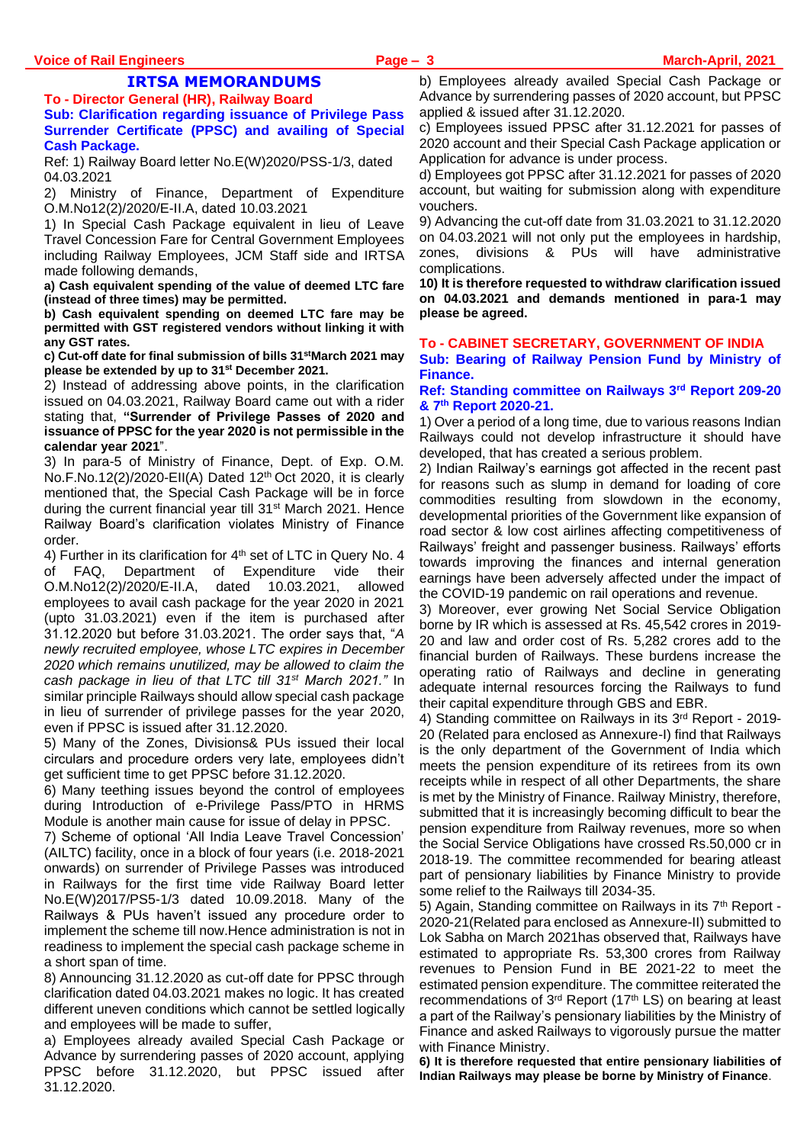# **IRTSA MEMORANDUMS**

**To - Director General (HR), Railway Board Sub: Clarification regarding issuance of Privilege Pass Surrender Certificate (PPSC) and availing of Special Cash Package.**

Ref: 1) Railway Board letter No.E(W)2020/PSS-1/3, dated 04.03.2021

2) Ministry of Finance, Department of Expenditure O.M.No12(2)/2020/E-II.A, dated 10.03.2021

1) In Special Cash Package equivalent in lieu of Leave Travel Concession Fare for Central Government Employees including Railway Employees, JCM Staff side and IRTSA made following demands,

**a) Cash equivalent spending of the value of deemed LTC fare (instead of three times) may be permitted.** 

**b) Cash equivalent spending on deemed LTC fare may be permitted with GST registered vendors without linking it with any GST rates.** 

**c) Cut-off date for final submission of bills 31stMarch 2021 may please be extended by up to 31st December 2021.**

2) Instead of addressing above points, in the clarification issued on 04.03.2021, Railway Board came out with a rider stating that, **"Surrender of Privilege Passes of 2020 and issuance of PPSC for the year 2020 is not permissible in the calendar year 2021**".

3) In para-5 of Ministry of Finance, Dept. of Exp. O.M. No.F.No.12(2)/2020-EII(A) Dated 12th Oct 2020, it is clearly mentioned that, the Special Cash Package will be in force during the current financial year till 31<sup>st</sup> March 2021. Hence Railway Board's clarification violates Ministry of Finance order.

4) Further in its clarification for 4<sup>th</sup> set of LTC in Query No. 4 of FAQ, Department of Expenditure vide their O.M.No12(2)/2020/E-II.A, dated 10.03.2021, allowed employees to avail cash package for the year 2020 in 2021 (upto 31.03.2021) even if the item is purchased after 31.12.2020 but before 31.03.2021. The order says that, "*A newly recruited employee, whose LTC expires in December 2020 which remains unutilized, may be allowed to claim the cash package in lieu of that LTC till 31st March 2021."* In similar principle Railways should allow special cash package in lieu of surrender of privilege passes for the year 2020, even if PPSC is issued after 31.12.2020.

5) Many of the Zones, Divisions& PUs issued their local circulars and procedure orders very late, employees didn't get sufficient time to get PPSC before 31.12.2020.

6) Many teething issues beyond the control of employees during Introduction of e-Privilege Pass/PTO in HRMS Module is another main cause for issue of delay in PPSC.

7) Scheme of optional 'All India Leave Travel Concession' (AILTC) facility, once in a block of four years (i.e. 2018-2021 onwards) on surrender of Privilege Passes was introduced in Railways for the first time vide Railway Board letter No.E(W)2017/PS5-1/3 dated 10.09.2018. Many of the Railways & PUs haven't issued any procedure order to implement the scheme till now.Hence administration is not in readiness to implement the special cash package scheme in a short span of time.

8) Announcing 31.12.2020 as cut-off date for PPSC through clarification dated 04.03.2021 makes no logic. It has created different uneven conditions which cannot be settled logically and employees will be made to suffer,

a) Employees already availed Special Cash Package or Advance by surrendering passes of 2020 account, applying PPSC before 31.12.2020, but PPSC issued after 31.12.2020.

b) Employees already availed Special Cash Package or Advance by surrendering passes of 2020 account, but PPSC applied & issued after 31.12.2020.

c) Employees issued PPSC after 31.12.2021 for passes of 2020 account and their Special Cash Package application or Application for advance is under process.

d) Employees got PPSC after 31.12.2021 for passes of 2020 account, but waiting for submission along with expenditure vouchers.

9) Advancing the cut-off date from 31.03.2021 to 31.12.2020 on 04.03.2021 will not only put the employees in hardship, zones, divisions & PUs will have administrative complications.

**10) It is therefore requested to withdraw clarification issued on 04.03.2021 and demands mentioned in para-1 may please be agreed.**

#### **To - CABINET SECRETARY, GOVERNMENT OF INDIA Sub: Bearing of Railway Pension Fund by Ministry of Finance.**

#### **Ref: Standing committee on Railways 3rd Report 209-20 & 7th Report 2020-21.**

1) Over a period of a long time, due to various reasons Indian Railways could not develop infrastructure it should have developed, that has created a serious problem.

2) Indian Railway's earnings got affected in the recent past for reasons such as slump in demand for loading of core commodities resulting from slowdown in the economy, developmental priorities of the Government like expansion of road sector & low cost airlines affecting competitiveness of Railways' freight and passenger business. Railways' efforts towards improving the finances and internal generation earnings have been adversely affected under the impact of the COVID-19 pandemic on rail operations and revenue.

3) Moreover, ever growing Net Social Service Obligation borne by IR which is assessed at Rs. 45,542 crores in 2019- 20 and law and order cost of Rs. 5,282 crores add to the financial burden of Railways. These burdens increase the operating ratio of Railways and decline in generating adequate internal resources forcing the Railways to fund their capital expenditure through GBS and EBR.

4) Standing committee on Railways in its 3rd Report - 2019- 20 (Related para enclosed as Annexure-I) find that Railways is the only department of the Government of India which meets the pension expenditure of its retirees from its own receipts while in respect of all other Departments, the share is met by the Ministry of Finance. Railway Ministry, therefore, submitted that it is increasingly becoming difficult to bear the pension expenditure from Railway revenues, more so when the Social Service Obligations have crossed Rs.50,000 cr in 2018-19. The committee recommended for bearing atleast part of pensionary liabilities by Finance Ministry to provide some relief to the Railways till 2034-35.

5) Again, Standing committee on Railways in its 7<sup>th</sup> Report -2020-21(Related para enclosed as Annexure-II) submitted to Lok Sabha on March 2021has observed that, Railways have estimated to appropriate Rs. 53,300 crores from Railway revenues to Pension Fund in BE 2021-22 to meet the estimated pension expenditure. The committee reiterated the recommendations of 3<sup>rd</sup> Report (17<sup>th</sup> LS) on bearing at least a part of the Railway's pensionary liabilities by the Ministry of Finance and asked Railways to vigorously pursue the matter with Finance Ministry.

**6) It is therefore requested that entire pensionary liabilities of Indian Railways may please be borne by Ministry of Finance**.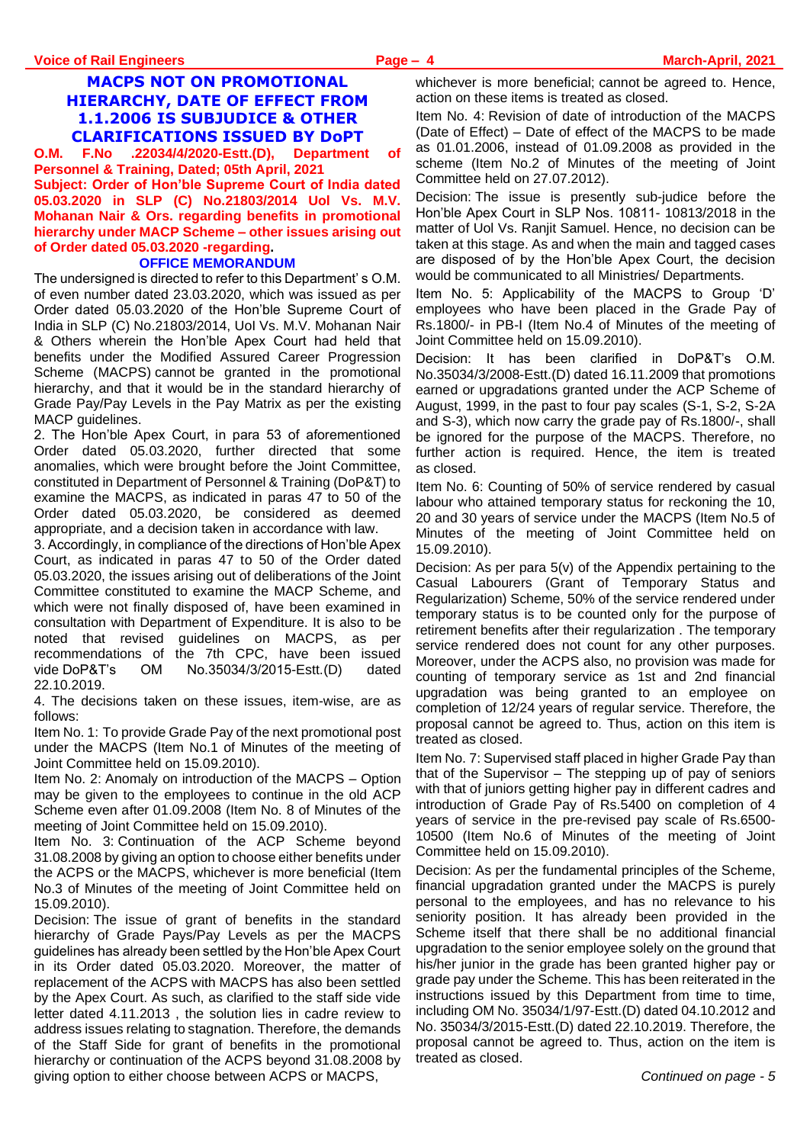# **MACPS NOT ON PROMOTIONAL HIERARCHY, DATE OF EFFECT FROM 1.1.2006 IS SUBJUDICE & OTHER CLARIFICATIONS ISSUED BY DoPT**

**O.M. F.No .22034/4/2020-Estt.(D), Department of Personnel & Training, Dated; 05th April, 2021 Subject: Order of Hon'ble Supreme Court of India dated 05.03.2020 in SLP (C) No.21803/2014 Uol Vs. M.V. Mohanan Nair & Ors. regarding benefits in promotional hierarchy under MACP Scheme – other issues arising out of Order dated 05.03.2020 -regarding.**

#### **OFFICE MEMORANDUM**

The undersigned is directed to refer to this Department' s O.M. of even number dated 23.03.2020, which was issued as per Order dated 05.03.2020 of the Hon'ble Supreme Court of India in SLP (C) No.21803/2014, UoI Vs. M.V. Mohanan Nair & Others wherein the Hon'ble Apex Court had held that benefits under the Modified Assured Career Progression Scheme (MACPS) cannot be granted in the promotional hierarchy, and that it would be in the standard hierarchy of Grade Pay/Pay Levels in the Pay Matrix as per the existing MACP guidelines.

2. The Hon'ble Apex Court, in para 53 of aforementioned Order dated 05.03.2020, further directed that some anomalies, which were brought before the Joint Committee, constituted in Department of Personnel & Training (DoP&T) to examine the MACPS, as indicated in paras 47 to 50 of the Order dated 05.03.2020, be considered as deemed appropriate, and a decision taken in accordance with law.

3. Accordingly, in compliance of the directions of Hon'ble Apex Court, as indicated in paras 47 to 50 of the Order dated 05.03.2020, the issues arising out of deliberations of the Joint Committee constituted to examine the MACP Scheme, and which were not finally disposed of, have been examined in consultation with Department of Expenditure. It is also to be noted that revised guidelines on MACPS, as per recommendations of the 7th CPC, have been issued vide DoP&T's OM No.35034/3/2015-Estt.(D) dated 22.10.2019.

4. The decisions taken on these issues, item-wise, are as follows:

Item No. 1: To provide Grade Pay of the next promotional post under the MACPS (Item No.1 of Minutes of the meeting of Joint Committee held on 15.09.2010).

Item No. 2: Anomaly on introduction of the MACPS – Option may be given to the employees to continue in the old ACP Scheme even after 01.09.2008 (Item No. 8 of Minutes of the meeting of Joint Committee held on 15.09.2010).

Item No. 3: Continuation of the ACP Scheme beyond 31.08.2008 by giving an option to choose either benefits under the ACPS or the MACPS, whichever is more beneficial (Item No.3 of Minutes of the meeting of Joint Committee held on 15.09.2010).

Decision: The issue of grant of benefits in the standard hierarchy of Grade Pays/Pay Levels as per the MACPS guidelines has already been settled by the Hon'ble Apex Court in its Order dated 05.03.2020. Moreover, the matter of replacement of the ACPS with MACPS has also been settled by the Apex Court. As such, as clarified to the staff side vide letter dated 4.11.2013 , the solution lies in cadre review to address issues relating to stagnation. Therefore, the demands of the Staff Side for grant of benefits in the promotional hierarchy or continuation of the ACPS beyond 31.08.2008 by giving option to either choose between ACPS or MACPS,

whichever is more beneficial; cannot be agreed to. Hence, action on these items is treated as closed.

Item No. 4: Revision of date of introduction of the MACPS (Date of Effect) – Date of effect of the MACPS to be made as 01.01.2006, instead of 01.09.2008 as provided in the scheme (Item No.2 of Minutes of the meeting of Joint Committee held on 27.07.2012).

Decision: The issue is presently sub-judice before the Hon'ble Apex Court in SLP Nos. 10811- 10813/2018 in the matter of Uol Vs. Ranjit Samuel. Hence, no decision can be taken at this stage. As and when the main and tagged cases are disposed of by the Hon'ble Apex Court, the decision would be communicated to all Ministries/ Departments.

Item No. 5: Applicability of the MACPS to Group 'D' employees who have been placed in the Grade Pay of Rs.1800/- in PB-I (Item No.4 of Minutes of the meeting of Joint Committee held on 15.09.2010).

Decision: It has been clarified in DoP&T's O.M. No.35034/3/2008-Estt.(D) dated 16.11.2009 that promotions earned or upgradations granted under the ACP Scheme of August, 1999, in the past to four pay scales (S-1, S-2, S-2A and S-3), which now carry the grade pay of Rs.1800/-, shall be ignored for the purpose of the MACPS. Therefore, no further action is required. Hence, the item is treated as closed.

Item No. 6: Counting of 50% of service rendered by casual labour who attained temporary status for reckoning the 10, 20 and 30 years of service under the MACPS (Item No.5 of Minutes of the meeting of Joint Committee held on 15.09.2010).

Decision: As per para 5(v) of the Appendix pertaining to the Casual Labourers (Grant of Temporary Status and Regularization) Scheme, 50% of the service rendered under temporary status is to be counted only for the purpose of retirement benefits after their regularization . The temporary service rendered does not count for any other purposes. Moreover, under the ACPS also, no provision was made for counting of temporary service as 1st and 2nd financial upgradation was being granted to an employee on completion of 12/24 years of regular service. Therefore, the proposal cannot be agreed to. Thus, action on this item is treated as closed.

Item No. 7: Supervised staff placed in higher Grade Pay than that of the Supervisor – The stepping up of pay of seniors with that of juniors getting higher pay in different cadres and introduction of Grade Pay of Rs.5400 on completion of 4 years of service in the pre-revised pay scale of Rs.6500- 10500 (Item No.6 of Minutes of the meeting of Joint Committee held on 15.09.2010).

Decision: As per the fundamental principles of the Scheme, financial upgradation granted under the MACPS is purely personal to the employees, and has no relevance to his seniority position. It has already been provided in the Scheme itself that there shall be no additional financial upgradation to the senior employee solely on the ground that his/her junior in the grade has been granted higher pay or grade pay under the Scheme. This has been reiterated in the instructions issued by this Department from time to time, including OM No. 35034/1/97-Estt.(D) dated 04.10.2012 and No. 35034/3/2015-Estt.(D) dated 22.10.2019. Therefore, the proposal cannot be agreed to. Thus, action on the item is treated as closed.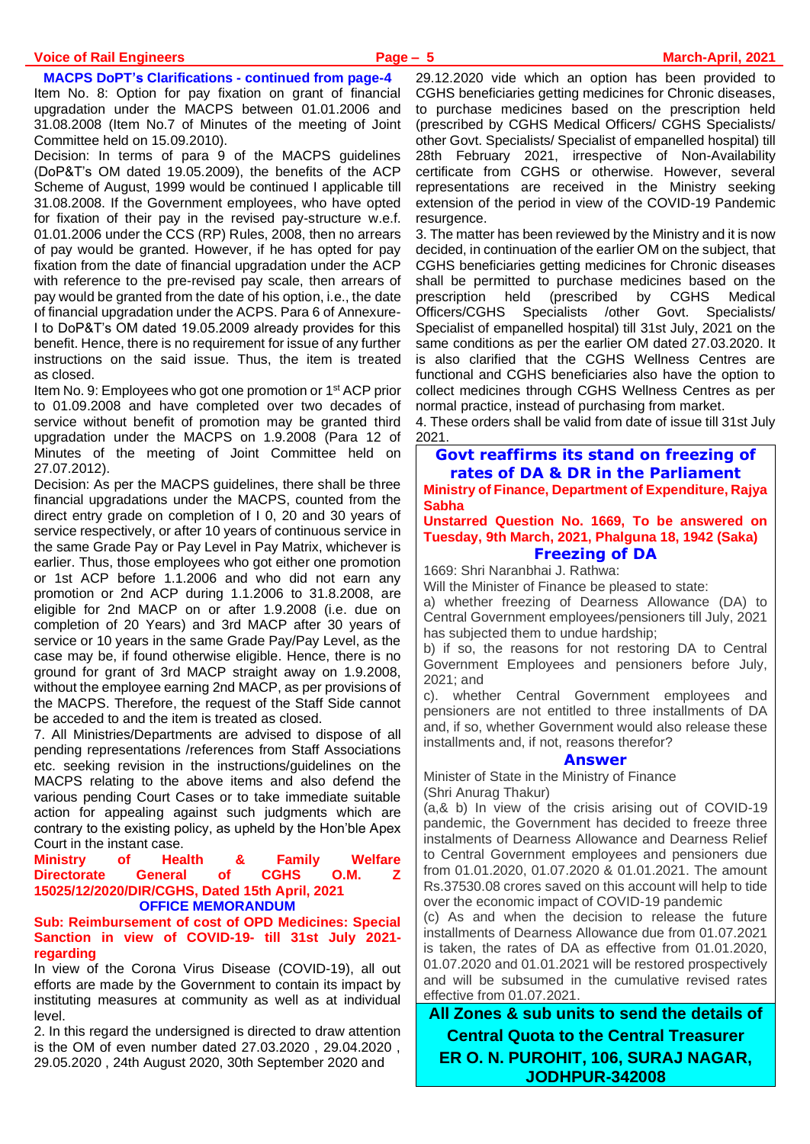**MACPS DoPT's Clarifications - continued from page-4**

Item No. 8: Option for pay fixation on grant of financial upgradation under the MACPS between 01.01.2006 and 31.08.2008 (Item No.7 of Minutes of the meeting of Joint Committee held on 15.09.2010).

Decision: In terms of para 9 of the MACPS guidelines (DoP&T's OM dated 19.05.2009), the benefits of the ACP Scheme of August, 1999 would be continued I applicable till 31.08.2008. If the Government employees, who have opted for fixation of their pay in the revised pay-structure w.e.f. 01.01.2006 under the CCS (RP) Rules, 2008, then no arrears of pay would be granted. However, if he has opted for pay fixation from the date of financial upgradation under the ACP with reference to the pre-revised pay scale, then arrears of pay would be granted from the date of his option, i.e., the date of financial upgradation under the ACPS. Para 6 of Annexure-I to DoP&T's OM dated 19.05.2009 already provides for this benefit. Hence, there is no requirement for issue of any further instructions on the said issue. Thus, the item is treated as closed.

Item No. 9: Employees who got one promotion or 1 st ACP prior to 01.09.2008 and have completed over two decades of service without benefit of promotion may be granted third upgradation under the MACPS on 1.9.2008 (Para 12 of Minutes of the meeting of Joint Committee held on 27.07.2012).

Decision: As per the MACPS guidelines, there shall be three financial upgradations under the MACPS, counted from the direct entry grade on completion of I 0, 20 and 30 years of service respectively, or after 10 years of continuous service in the same Grade Pay or Pay Level in Pay Matrix, whichever is earlier. Thus, those employees who got either one promotion or 1st ACP before 1.1.2006 and who did not earn any promotion or 2nd ACP during 1.1.2006 to 31.8.2008, are eligible for 2nd MACP on or after 1.9.2008 (i.e. due on completion of 20 Years) and 3rd MACP after 30 years of service or 10 years in the same Grade Pay/Pay Level, as the case may be, if found otherwise eligible. Hence, there is no ground for grant of 3rd MACP straight away on 1.9.2008, without the employee earning 2nd MACP, as per provisions of the MACPS. Therefore, the request of the Staff Side cannot be acceded to and the item is treated as closed.

7. All Ministries/Departments are advised to dispose of all pending representations /references from Staff Associations etc. seeking revision in the instructions/guidelines on the MACPS relating to the above items and also defend the various pending Court Cases or to take immediate suitable action for appealing against such judgments which are contrary to the existing policy, as upheld by the Hon'ble Apex Court in the instant case.

#### **Ministry of Health & Family Welfare Directorate General of CGHS O.M. Z 15025/12/2020/DIR/CGHS, Dated 15th April, 2021 OFFICE MEMORANDUM**

#### **Sub: Reimbursement of cost of OPD Medicines: Special Sanction in view of COVID-19- till 31st July 2021 regarding**

In view of the Corona Virus Disease (COVID-19), all out efforts are made by the Government to contain its impact by instituting measures at community as well as at individual level.

2. In this regard the undersigned is directed to draw attention is the OM of even number dated 27.03.2020 , 29.04.2020 , 29.05.2020 , 24th August 2020, 30th September 2020 and

29.12.2020 vide which an option has been provided to CGHS beneficiaries getting medicines for Chronic diseases, to purchase medicines based on the prescription held (prescribed by CGHS Medical Officers/ CGHS Specialists/ other Govt. Specialists/ Specialist of empanelled hospital) till 28th February 2021, irrespective of Non-Availability certificate from CGHS or otherwise. However, several representations are received in the Ministry seeking extension of the period in view of the COVID-19 Pandemic resurgence.

3. The matter has been reviewed by the Ministry and it is now decided, in continuation of the earlier OM on the subject, that CGHS beneficiaries getting medicines for Chronic diseases shall be permitted to purchase medicines based on the prescription held (prescribed by CGHS Medical Officers/CGHS Specialists /other Govt. Specialists/ Specialist of empanelled hospital) till 31st July, 2021 on the same conditions as per the earlier OM dated 27.03.2020. It is also clarified that the CGHS Wellness Centres are functional and CGHS beneficiaries also have the option to collect medicines through CGHS Wellness Centres as per normal practice, instead of purchasing from market.

4. These orders shall be valid from date of issue till 31st July 2021.

# **Govt reaffirms its stand on freezing of rates of DA & DR in the Parliament**

**Ministry of Finance, Department of Expenditure, Rajya Sabha**

#### **Unstarred Question No. 1669, To be answered on Tuesday, 9th March, 2021, Phalguna 18, 1942 (Saka) Freezing of DA**

1669: Shri Naranbhai J. Rathwa:

Will the Minister of Finance be pleased to state:

a) whether freezing of Dearness Allowance (DA) to Central Government employees/pensioners till July, 2021 has subjected them to undue hardship;

b) if so, the reasons for not restoring DA to Central Government Employees and pensioners before July,  $2021$ ; and

c). whether Central Government employees and pensioners are not entitled to three installments of DA and, if so, whether Government would also release these installments and, if not, reasons therefor?

#### **Answer**

Minister of State in the Ministry of Finance (Shri Anurag Thakur)

(a,& b) In view of the crisis arising out of COVID-19 pandemic, the Government has decided to freeze three instalments of Dearness Allowance and Dearness Relief to Central Government employees and pensioners due from 01.01.2020, 01.07.2020 & 01.01.2021. The amount Rs.37530.08 crores saved on this account will help to tide over the economic impact of COVID-19 pandemic

(c) As and when the decision to release the future installments of Dearness Allowance due from 01.07.2021 is taken, the rates of DA as effective from 01.01.2020, 01.07.2020 and 01.01.2021 will be restored prospectively and will be subsumed in the cumulative revised rates effective from 01.07.2021.

**All Zones & sub units to send the details of Central Quota to the Central Treasurer ER O. N. PUROHIT, 106, SURAJ NAGAR, JODHPUR-342008**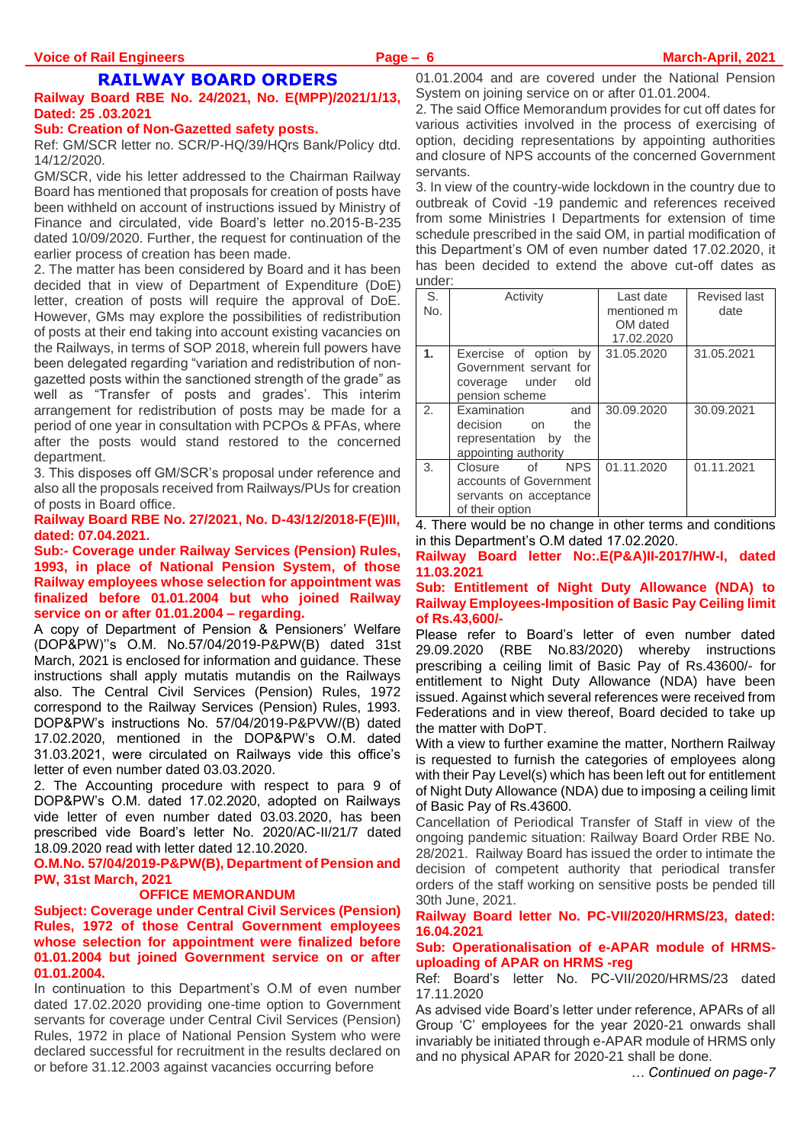# **RAILWAY BOARD ORDERS**

#### **Railway Board RBE No. 24/2021, No. E(MPP)/2021/1/13, Dated: 25 .03.2021**

#### **Sub: Creation of Non-Gazetted safety posts.**

Ref: GM/SCR letter no. SCR/P-HQ/39/HQrs Bank/Policy dtd. 14/12/2020.

GM/SCR, vide his letter addressed to the Chairman Railway Board has mentioned that proposals for creation of posts have been withheld on account of instructions issued by Ministry of Finance and circulated, vide Board's letter no.2015-B-235 dated 10/09/2020. Further, the request for continuation of the earlier process of creation has been made.

2. The matter has been considered by Board and it has been decided that in view of Department of Expenditure (DoE) letter, creation of posts will require the approval of DoE. However, GMs may explore the possibilities of redistribution of posts at their end taking into account existing vacancies on the Railways, in terms of SOP 2018, wherein full powers have been delegated regarding "variation and redistribution of nongazetted posts within the sanctioned strength of the grade" as well as "Transfer of posts and grades'. This interim arrangement for redistribution of posts may be made for a period of one year in consultation with PCPOs & PFAs, where after the posts would stand restored to the concerned department.

3. This disposes off GM/SCR's proposal under reference and also all the proposals received from Railways/PUs for creation of posts in Board office.

#### **Railway Board RBE No. 27/2021, No. D-43/12/2018-F(E)III, dated: 07.04.2021.**

#### **Sub:- Coverage under Railway Services (Pension) Rules, 1993, in place of National Pension System, of those Railway employees whose selection for appointment was finalized before 01.01.2004 but who joined Railway service on or after 01.01.2004 – regarding.**

A copy of Department of Pension & Pensioners' Welfare (DOP&PW)''s O.M. No.57/04/2019-P&PW(B) dated 31st March, 2021 is enclosed for information and guidance. These instructions shall apply mutatis mutandis on the Railways also. The Central Civil Services (Pension) Rules, 1972 correspond to the Railway Services (Pension) Rules, 1993. DOP&PW's instructions No. 57/04/2019-P&PVW/(B) dated 17.02.2020, mentioned in the DOP&PW's O.M. dated 31.03.2021, were circulated on Railways vide this office's letter of even number dated 03.03.2020.

2. The Accounting procedure with respect to para 9 of DOP&PW's O.M. dated 17.02.2020, adopted on Railways vide letter of even number dated 03.03.2020, has been prescribed vide Board's letter No. 2020/AC-II/21/7 dated 18.09.2020 read with letter dated 12.10.2020.

#### **O.M.No. 57/04/2019-P&PW(B), Department of Pension and PW, 31st March, 2021**

#### **OFFICE MEMORANDUM**

#### **Subject: Coverage under Central Civil Services (Pension) Rules, 1972 of those Central Government employees whose selection for appointment were finalized before 01.01.2004 but joined Government service on or after 01.01.2004.**

In continuation to this Department's O.M of even number dated 17.02.2020 providing one-time option to Government servants for coverage under Central Civil Services (Pension) Rules, 1972 in place of National Pension System who were declared successful for recruitment in the results declared on or before 31.12.2003 against vacancies occurring before

01.01.2004 and are covered under the National Pension System on joining service on or after 01.01.2004.

2. The said Office Memorandum provides for cut off dates for various activities involved in the process of exercising of option, deciding representations by appointing authorities and closure of NPS accounts of the concerned Government servants.

3. In view of the country-wide lockdown in the country due to outbreak of Covid -19 pandemic and references received from some Ministries I Departments for extension of time schedule prescribed in the said OM, in partial modification of this Department's OM of even number dated 17.02.2020, it has been decided to extend the above cut-off dates as under:

| S.<br>No.      | Activity                                                                                           | Last date<br>mentioned m<br>OM dated<br>17.02.2020 | <b>Revised last</b><br>date |
|----------------|----------------------------------------------------------------------------------------------------|----------------------------------------------------|-----------------------------|
| $\mathbf{1}$ . | Exercise of option by<br>Government servant for<br>coverage under<br>old<br>pension scheme         | 31.05.2020                                         | 31.05.2021                  |
| 2 <sub>1</sub> | Examination<br>and<br>decision<br>the<br>on<br>representation by<br>the<br>appointing authority    | 30.09.2020                                         | 30.09.2021                  |
| 3.             | <b>NPS</b><br>of<br>Closure<br>accounts of Government<br>servants on acceptance<br>of their option | 01.11.2020                                         | 01.11.2021                  |

4. There would be no change in other terms and conditions in this Department's O.M dated 17.02.2020.

#### **Railway Board letter No:.E(P&A)II-2017/HW-I, dated 11.03.2021**

#### **Sub: Entitlement of Night Duty Allowance (NDA) to Railway Employees-Imposition of Basic Pay Ceiling limit of Rs.43,600/-**

Please refer to Board's letter of even number dated 29.09.2020 (RBE No.83/2020) whereby instructions prescribing a ceiling limit of Basic Pay of Rs.43600/- for entitlement to Night Duty Allowance (NDA) have been issued. Against which several references were received from Federations and in view thereof, Board decided to take up the matter with DoPT.

With a view to further examine the matter, Northern Railway is requested to furnish the categories of employees along with their Pay Level(s) which has been left out for entitlement of Night Duty Allowance (NDA) due to imposing a ceiling limit of Basic Pay of Rs.43600.

Cancellation of Periodical Transfer of Staff in view of the ongoing pandemic situation: Railway Board Order RBE No. 28/2021. Railway Board has issued the order to intimate the decision of competent authority that periodical transfer orders of the staff working on sensitive posts be pended till 30th June, 2021.

#### **Railway Board letter No. PC-VII/2020/HRMS/23, dated: 16.04.2021**

#### **Sub: Operationalisation of e-APAR module of HRMSuploading of APAR on HRMS -reg**

Ref: Board's letter No. PC-VII/2020/HRMS/23 dated 17.11.2020

As advised vide Board's letter under reference, APARs of all Group 'C' employees for the year 2020-21 onwards shall invariably be initiated through e-APAR module of HRMS only and no physical APAR for 2020-21 shall be done.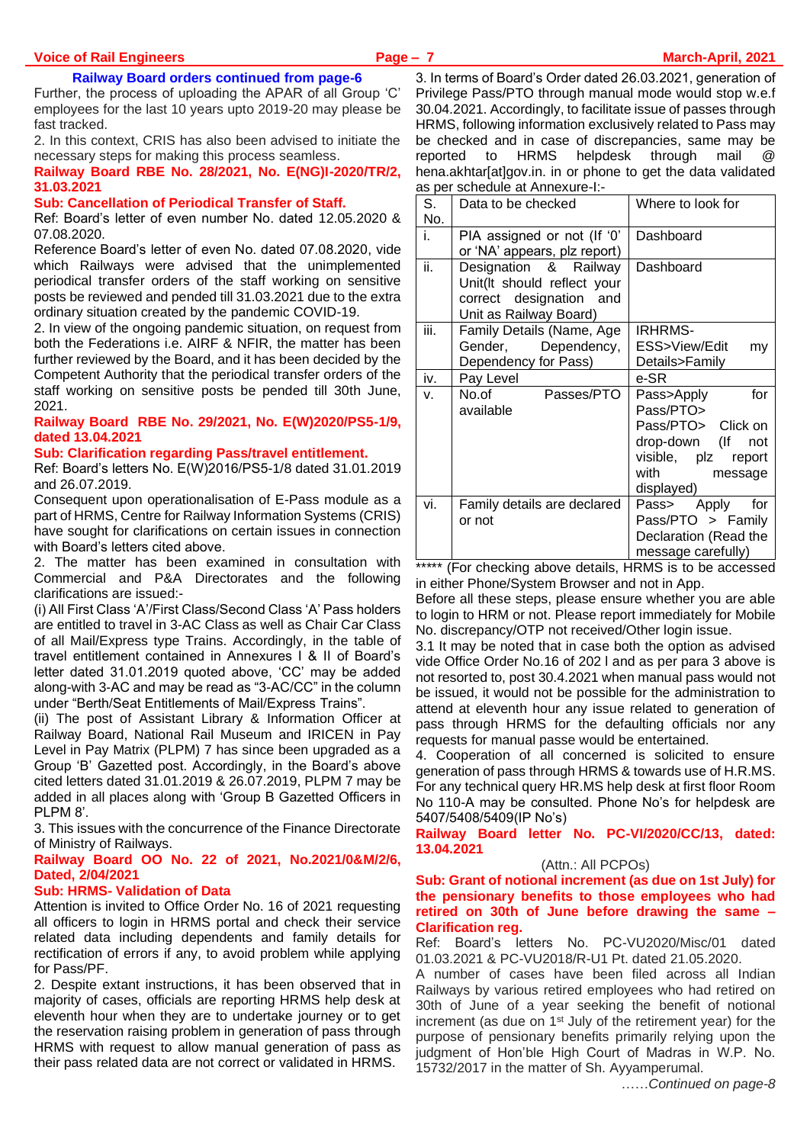#### **Railway Board orders continued from page-6**

Further, the process of uploading the APAR of all Group 'C' employees for the last 10 years upto 2019-20 may please be fast tracked.

2. In this context, CRIS has also been advised to initiate the necessary steps for making this process seamless.

**Railway Board RBE No. 28/2021, No. E(NG)I-2020/TR/2, 31.03.2021**

#### **Sub: Cancellation of Periodical Transfer of Staff.**

Ref: Board's letter of even number No. dated 12.05.2020 & 07.08.2020.

Reference Board's letter of even No. dated 07.08.2020, vide which Railways were advised that the unimplemented periodical transfer orders of the staff working on sensitive posts be reviewed and pended till 31.03.2021 due to the extra ordinary situation created by the pandemic COVID-19.

2. In view of the ongoing pandemic situation, on request from both the Federations i.e. AIRF & NFIR, the matter has been further reviewed by the Board, and it has been decided by the Competent Authority that the periodical transfer orders of the staff working on sensitive posts be pended till 30th June, 2021.

#### **Railway Board RBE No. 29/2021, No. E(W)2020/PS5-1/9, dated 13.04.2021**

#### **Sub: Clarification regarding Pass/travel entitlement.**

Ref: Board's letters No. E(W)2016/PS5-1/8 dated 31.01.2019 and 26.07.2019.

Consequent upon operationalisation of E-Pass module as a part of HRMS, Centre for Railway Information Systems (CRIS) have sought for clarifications on certain issues in connection with Board's letters cited above

2. The matter has been examined in consultation with Commercial and P&A Directorates and the following clarifications are issued:-

(i) All First Class 'A'/First Class/Second Class 'A' Pass holders are entitled to travel in 3-AC Class as well as Chair Car Class of all Mail/Express type Trains. Accordingly, in the table of travel entitlement contained in Annexures I & II of Board's letter dated 31.01.2019 quoted above, 'CC' may be added along-with 3-AC and may be read as "3-AC/CC" in the column under "Berth/Seat Entitlements of Mail/Express Trains".

(ii) The post of Assistant Library & Information Officer at Railway Board, National Rail Museum and IRICEN in Pay Level in Pay Matrix (PLPM) 7 has since been upgraded as a Group 'B' Gazetted post. Accordingly, in the Board's above cited letters dated 31.01.2019 & 26.07.2019, PLPM 7 may be added in all places along with 'Group B Gazetted Officers in PLPM 8'.

3. This issues with the concurrence of the Finance Directorate of Ministry of Railways.

#### **Railway Board OO No. 22 of 2021, No.2021/0&M/2/6, Dated, 2/04/2021**

### **Sub: HRMS- Validation of Data**

Attention is invited to Office Order No. 16 of 2021 requesting all officers to login in HRMS portal and check their service related data including dependents and family details for rectification of errors if any, to avoid problem while applying for Pass/PF.

2. Despite extant instructions, it has been observed that in majority of cases, officials are reporting HRMS help desk at eleventh hour when they are to undertake journey or to get the reservation raising problem in generation of pass through HRMS with request to allow manual generation of pass as their pass related data are not correct or validated in HRMS.

3. In terms of Board's Order dated 26.03.2021, generation of Privilege Pass/PTO through manual mode would stop w.e.f 30.04.2021. Accordingly, to facilitate issue of passes through HRMS, following information exclusively related to Pass may be checked and in case of discrepancies, same may be reported to HRMS helpdesk through mail hena.akhtar[at]gov.in. in or phone to get the data validated as per schedule at Annexure-I:-

| יטץ טג |                                                         |                       |
|--------|---------------------------------------------------------|-----------------------|
| S.     | Data to be checked                                      | Where to look for     |
| No.    |                                                         |                       |
| i.     | PIA assigned or not (If '0'                             | Dashboard             |
|        | or 'NA' appears, plz report)                            |                       |
| ii.    | Designation & Railway                                   | Dashboard             |
|        | Unit(It should reflect your                             |                       |
|        | correct designation and                                 |                       |
|        | Unit as Railway Board)                                  |                       |
| iii.   | Family Details (Name, Age                               | IRHRMS-               |
|        | Gender, Dependency,                                     | ESS>View/Edit<br>my   |
|        | Dependency for Pass)                                    | Details>Family        |
| iv.    | Pay Level                                               | e-SR                  |
| V.     | Passes/PTO<br>No.of in the North States                 | for<br>Pass>Apply     |
|        | available                                               | Pass/PTO>             |
|        |                                                         | Pass/PTO> Click on    |
|        |                                                         | drop-down (If not     |
|        |                                                         | visible, plz report   |
|        |                                                         | with<br>message       |
|        |                                                         | displayed)            |
| vi.    | Family details are declared                             | Pass> Apply for       |
|        | or not                                                  | Pass/PTO > Family     |
|        |                                                         | Declaration (Read the |
|        |                                                         | message carefully)    |
|        | $*****$ / $\Box$ and also also an also consider the the | $110140 \pm 1$        |

(For checking above details, HRMS is to be accessed in either Phone/System Browser and not in App.

Before all these steps, please ensure whether you are able to login to HRM or not. Please report immediately for Mobile No. discrepancy/OTP not received/Other login issue.

3.1 It may be noted that in case both the option as advised vide Office Order No.16 of 202 l and as per para 3 above is not resorted to, post 30.4.2021 when manual pass would not be issued, it would not be possible for the administration to attend at eleventh hour any issue related to generation of pass through HRMS for the defaulting officials nor any requests for manual passe would be entertained.

4. Cooperation of all concerned is solicited to ensure generation of pass through HRMS & towards use of H.R.MS. For any technical query HR.MS help desk at first floor Room No 110-A may be consulted. Phone No's for helpdesk are 5407/5408/5409(IP No's)

**Railway Board letter No. PC-VI/2020/CC/13, dated: 13.04.2021**

#### (Attn.: All PCPOs)

#### **Sub: Grant of notional increment (as due on 1st July) for the pensionary benefits to those employees who had retired on 30th of June before drawing the same – Clarification reg.**

Ref: Board's letters No. PC-VU2020/Misc/01 dated 01.03.2021 & PC-VU2018/R-U1 Pt. dated 21.05.2020.

A number of cases have been filed across all Indian Railways by various retired employees who had retired on 30th of June of a year seeking the benefit of notional increment (as due on 1<sup>st</sup> July of the retirement year) for the purpose of pensionary benefits primarily relying upon the judgment of Hon'ble High Court of Madras in W.P. No. 15732/2017 in the matter of Sh. Ayyamperumal.